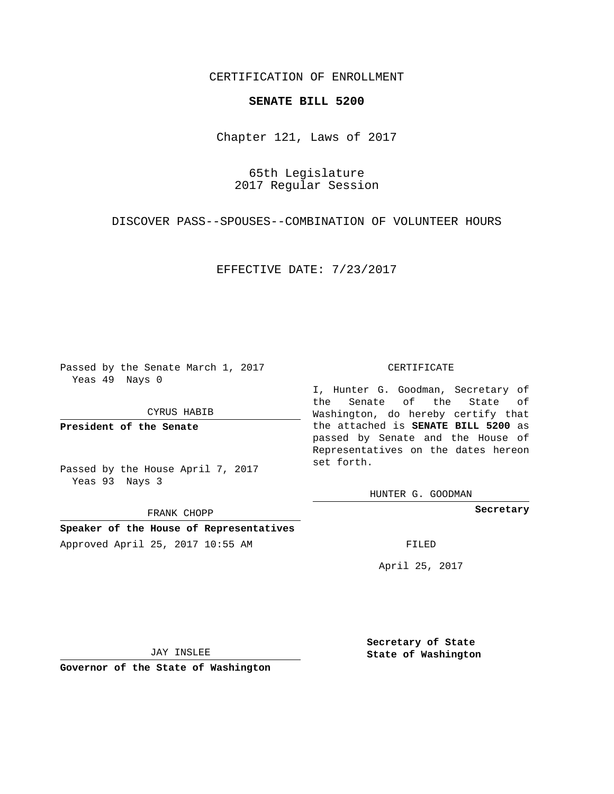## CERTIFICATION OF ENROLLMENT

## **SENATE BILL 5200**

Chapter 121, Laws of 2017

65th Legislature 2017 Regular Session

DISCOVER PASS--SPOUSES--COMBINATION OF VOLUNTEER HOURS

EFFECTIVE DATE: 7/23/2017

Passed by the Senate March 1, 2017 Yeas 49 Nays 0

CYRUS HABIB

**President of the Senate**

Passed by the House April 7, 2017 Yeas 93 Nays 3

FRANK CHOPP

**Speaker of the House of Representatives** Approved April 25, 2017 10:55 AM FILED

## CERTIFICATE

I, Hunter G. Goodman, Secretary of the Senate of the State of Washington, do hereby certify that the attached is **SENATE BILL 5200** as passed by Senate and the House of Representatives on the dates hereon set forth.

HUNTER G. GOODMAN

**Secretary**

April 25, 2017

JAY INSLEE

**Governor of the State of Washington**

**Secretary of State State of Washington**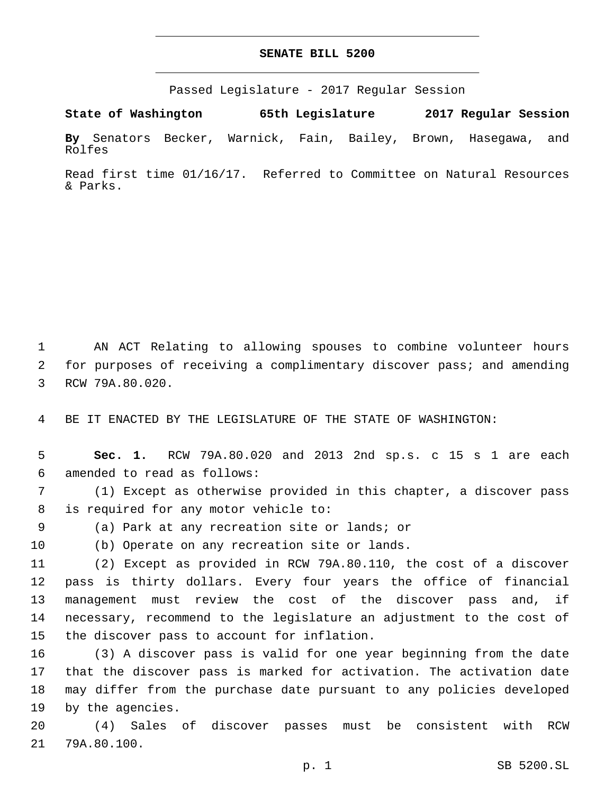## **SENATE BILL 5200**

Passed Legislature - 2017 Regular Session

**State of Washington 65th Legislature 2017 Regular Session By** Senators Becker, Warnick, Fain, Bailey, Brown, Hasegawa, and Rolfes

Read first time 01/16/17. Referred to Committee on Natural Resources & Parks.

1 AN ACT Relating to allowing spouses to combine volunteer hours 2 for purposes of receiving a complimentary discover pass; and amending 3 RCW 79A.80.020.

4 BE IT ENACTED BY THE LEGISLATURE OF THE STATE OF WASHINGTON:

5 **Sec. 1.** RCW 79A.80.020 and 2013 2nd sp.s. c 15 s 1 are each amended to read as follows:6

7 (1) Except as otherwise provided in this chapter, a discover pass 8 is required for any motor vehicle to:

(a) Park at any recreation site or lands; or9

10 (b) Operate on any recreation site or lands.

 (2) Except as provided in RCW 79A.80.110, the cost of a discover pass is thirty dollars. Every four years the office of financial management must review the cost of the discover pass and, if necessary, recommend to the legislature an adjustment to the cost of 15 the discover pass to account for inflation.

 (3) A discover pass is valid for one year beginning from the date that the discover pass is marked for activation. The activation date may differ from the purchase date pursuant to any policies developed 19 by the agencies.

20 (4) Sales of discover passes must be consistent with RCW 21 79A.80.100.